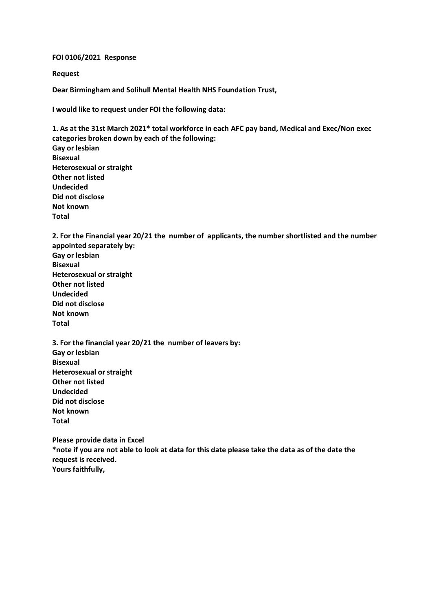## **FOI 0106/2021 Response**

**Request**

**Dear Birmingham and Solihull Mental Health NHS Foundation Trust,**

**I would like to request under FOI the following data:**

**1. As at the 31st March 2021\* total workforce in each AFC pay band, Medical and Exec/Non exec categories broken down by each of the following: Gay or lesbian Bisexual Heterosexual or straight Other not listed Undecided Did not disclose Not known Total**

**2. For the Financial year 20/21 the number of applicants, the number shortlisted and the number appointed separately by: Gay or lesbian Bisexual Heterosexual or straight Other not listed Undecided Did not disclose Not known**

**Total**

**3. For the financial year 20/21 the number of leavers by: Gay or lesbian Bisexual Heterosexual or straight Other not listed Undecided Did not disclose Not known Total**

**Please provide data in Excel \*note if you are not able to look at data for this date please take the data as of the date the request is received. Yours faithfully,**